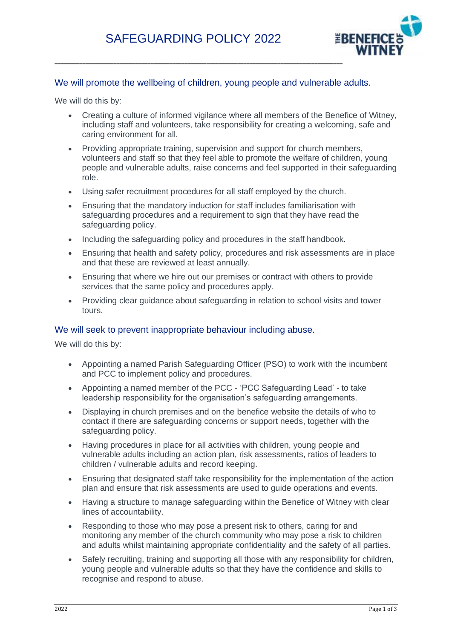

#### We will promote the wellbeing of children, young people and vulnerable adults.

We will do this by:

- Creating a culture of informed vigilance where all members of the Benefice of Witney, including staff and volunteers, take responsibility for creating a welcoming, safe and caring environment for all.
- Providing appropriate training, supervision and support for church members, volunteers and staff so that they feel able to promote the welfare of children, young people and vulnerable adults, raise concerns and feel supported in their safeguarding role.
- Using safer recruitment procedures for all staff employed by the church.
- Ensuring that the mandatory induction for staff includes familiarisation with safeguarding procedures and a requirement to sign that they have read the safeguarding policy.
- Including the safeguarding policy and procedures in the staff handbook.
- Ensuring that health and safety policy, procedures and risk assessments are in place and that these are reviewed at least annually.
- Ensuring that where we hire out our premises or contract with others to provide services that the same policy and procedures apply.
- Providing clear guidance about safeguarding in relation to school visits and tower tours.

#### We will seek to prevent inappropriate behaviour including abuse.

We will do this by:

- Appointing a named Parish Safeguarding Officer (PSO) to work with the incumbent and PCC to implement policy and procedures.
- Appointing a named member of the PCC 'PCC Safeguarding Lead' to take leadership responsibility for the organisation's safeguarding arrangements.
- Displaying in church premises and on the benefice website the details of who to contact if there are safeguarding concerns or support needs, together with the safeguarding policy.
- Having procedures in place for all activities with children, young people and vulnerable adults including an action plan, risk assessments, ratios of leaders to children / vulnerable adults and record keeping.
- Ensuring that designated staff take responsibility for the implementation of the action plan and ensure that risk assessments are used to guide operations and events.
- Having a structure to manage safeguarding within the Benefice of Witney with clear lines of accountability.
- Responding to those who may pose a present risk to others, caring for and monitoring any member of the church community who may pose a risk to children and adults whilst maintaining appropriate confidentiality and the safety of all parties.
- Safely recruiting, training and supporting all those with any responsibility for children, young people and vulnerable adults so that they have the confidence and skills to recognise and respond to abuse.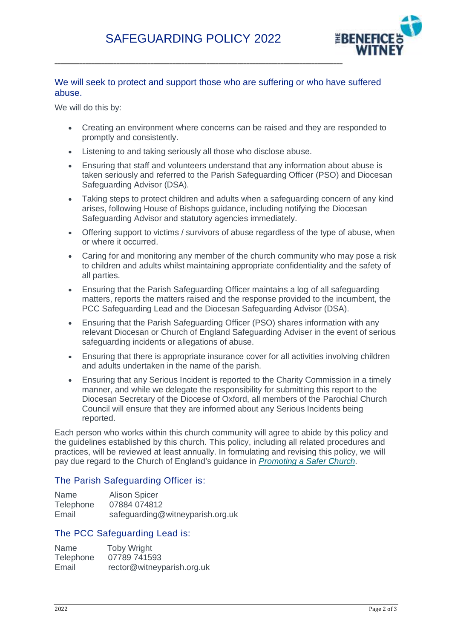

# We will seek to protect and support those who are suffering or who have suffered abuse.

We will do this by:

- Creating an environment where concerns can be raised and they are responded to promptly and consistently.
- Listening to and taking seriously all those who disclose abuse.
- Ensuring that staff and volunteers understand that any information about abuse is taken seriously and referred to the Parish Safeguarding Officer (PSO) and Diocesan Safeguarding Advisor (DSA).
- Taking steps to protect children and adults when a safeguarding concern of any kind arises, following House of Bishops guidance, including notifying the Diocesan Safeguarding Advisor and statutory agencies immediately.
- Offering support to victims / survivors of abuse regardless of the type of abuse, when or where it occurred.
- Caring for and monitoring any member of the church community who may pose a risk to children and adults whilst maintaining appropriate confidentiality and the safety of all parties.
- Ensuring that the Parish Safeguarding Officer maintains a log of all safeguarding matters, reports the matters raised and the response provided to the incumbent, the PCC Safeguarding Lead and the Diocesan Safeguarding Advisor (DSA).
- Ensuring that the Parish Safeguarding Officer (PSO) shares information with any relevant Diocesan or Church of England Safeguarding Adviser in the event of serious safeguarding incidents or allegations of abuse.
- Ensuring that there is appropriate insurance cover for all activities involving children and adults undertaken in the name of the parish.
- Ensuring that any Serious Incident is reported to the Charity Commission in a timely manner, and while we delegate the responsibility for submitting this report to the Diocesan Secretary of the Diocese of Oxford, all members of the Parochial Church Council will ensure that they are informed about any Serious Incidents being reported.

Each person who works within this church community will agree to abide by this policy and the guidelines established by this church. This policy, including all related procedures and practices, will be reviewed at least annually. In formulating and revising this policy, we will pay due regard to the Church of England's guidance in *[Promoting a Safer Church.](https://www.churchofengland.org/sites/default/files/2017-11/cofe-policy-statement.pdf)*

## The Parish Safeguarding Officer is:

| Name             | <b>Alison Spicer</b>             |
|------------------|----------------------------------|
| <b>Telephone</b> | 07884 074812                     |
| Email            | safeguarding@witneyparish.org.uk |

## The PCC Safeguarding Lead is:

| Name      | <b>Toby Wright</b>         |
|-----------|----------------------------|
| Telephone | 07789 741593               |
| Email     | rector@witneyparish.org.uk |